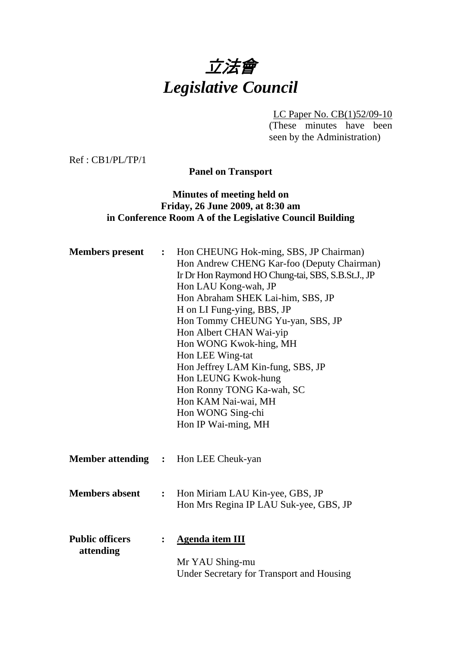

LC Paper No. CB(1)52/09-10 (These minutes have been seen by the Administration)

Ref : CB1/PL/TP/1

**Panel on Transport** 

## **Minutes of meeting held on Friday, 26 June 2009, at 8:30 am in Conference Room A of the Legislative Council Building**

| <b>Members</b> present              | $\ddot{\bullet}$ | Hon CHEUNG Hok-ming, SBS, JP Chairman)<br>Hon Andrew CHENG Kar-foo (Deputy Chairman)<br>Ir Dr Hon Raymond HO Chung-tai, SBS, S.B.St.J., JP<br>Hon LAU Kong-wah, JP<br>Hon Abraham SHEK Lai-him, SBS, JP<br>H on LI Fung-ying, BBS, JP<br>Hon Tommy CHEUNG Yu-yan, SBS, JP<br>Hon Albert CHAN Wai-yip<br>Hon WONG Kwok-hing, MH<br>Hon LEE Wing-tat<br>Hon Jeffrey LAM Kin-fung, SBS, JP<br>Hon LEUNG Kwok-hung<br>Hon Ronny TONG Ka-wah, SC<br>Hon KAM Nai-wai, MH<br>Hon WONG Sing-chi<br>Hon IP Wai-ming, MH |
|-------------------------------------|------------------|----------------------------------------------------------------------------------------------------------------------------------------------------------------------------------------------------------------------------------------------------------------------------------------------------------------------------------------------------------------------------------------------------------------------------------------------------------------------------------------------------------------|
|                                     |                  | <b>Member attending : Hon LEE Cheuk-yan</b>                                                                                                                                                                                                                                                                                                                                                                                                                                                                    |
| <b>Members absent</b>               | $\ddot{\cdot}$   | Hon Miriam LAU Kin-yee, GBS, JP<br>Hon Mrs Regina IP LAU Suk-yee, GBS, JP                                                                                                                                                                                                                                                                                                                                                                                                                                      |
| <b>Public officers</b><br>attending | $\ddot{\cdot}$   | <b>Agenda item III</b><br>Mr YAU Shing-mu<br>Under Secretary for Transport and Housing                                                                                                                                                                                                                                                                                                                                                                                                                         |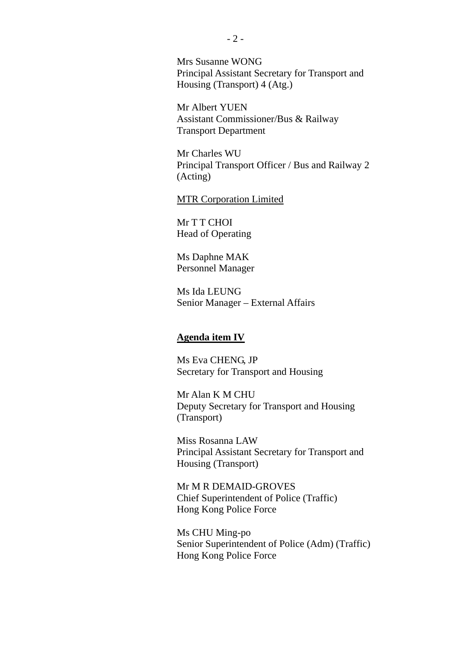Mrs Susanne WONG Principal Assistant Secretary for Transport and Housing (Transport) 4 (Atg.)

Mr Albert YUEN Assistant Commissioner/Bus & Railway Transport Department

Mr Charles WU Principal Transport Officer / Bus and Railway 2 (Acting)

#### MTR Corporation Limited

Mr T T CHOI Head of Operating

Ms Daphne MAK Personnel Manager

Ms Ida LEUNG Senior Manager – External Affairs

#### **Agenda item IV**

Ms Eva CHENG, JP Secretary for Transport and Housing

Mr Alan K M CHU Deputy Secretary for Transport and Housing (Transport)

Miss Rosanna LAW Principal Assistant Secretary for Transport and Housing (Transport)

Mr M R DEMAID-GROVES Chief Superintendent of Police (Traffic) Hong Kong Police Force

Ms CHU Ming-po Senior Superintendent of Police (Adm) (Traffic) Hong Kong Police Force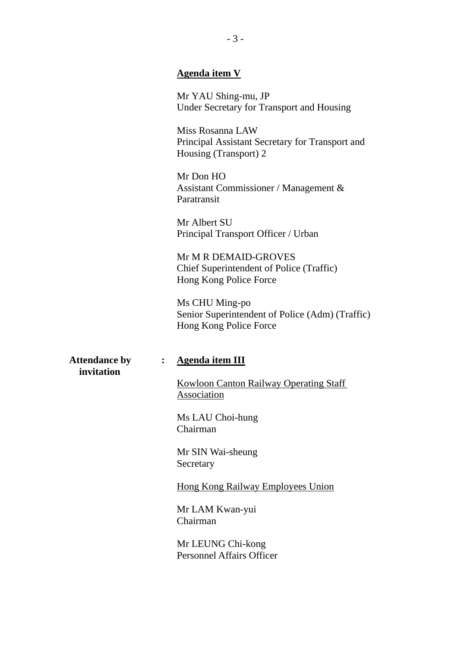#### **Agenda item V**

Mr YAU Shing-mu, JP Under Secretary for Transport and Housing

Miss Rosanna LAW Principal Assistant Secretary for Transport and Housing (Transport) 2

Mr Don HO Assistant Commissioner / Management & Paratransit

Mr Albert SU Principal Transport Officer / Urban

Mr M R DEMAID-GROVES Chief Superintendent of Police (Traffic) Hong Kong Police Force

Ms CHU Ming-po Senior Superintendent of Police (Adm) (Traffic) Hong Kong Police Force

**invitation** 

#### **Attendance by : Agenda item III**

Kowloon Canton Railway Operating Staff Association

Ms LAU Choi-hung Chairman

Mr SIN Wai-sheung Secretary

Hong Kong Railway Employees Union

Mr LAM Kwan-yui Chairman

Mr LEUNG Chi-kong Personnel Affairs Officer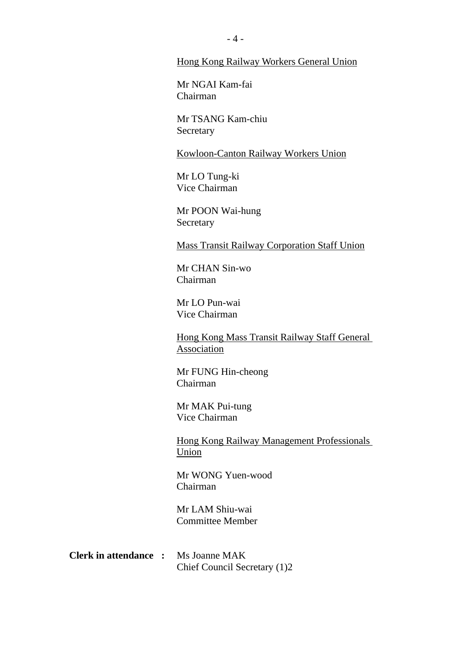#### Hong Kong Railway Workers General Union

Mr NGAI Kam-fai Chairman

Mr TSANG Kam-chiu **Secretary** 

Kowloon-Canton Railway Workers Union

Mr LO Tung-ki Vice Chairman

Mr POON Wai-hung Secretary

Mass Transit Railway Corporation Staff Union

Mr CHAN Sin-wo Chairman

Mr LO Pun-wai Vice Chairman

Hong Kong Mass Transit Railway Staff General Association

Mr FUNG Hin-cheong Chairman

Mr MAK Pui-tung Vice Chairman

Hong Kong Railway Management Professionals Union

Mr WONG Yuen-wood Chairman

Mr LAM Shiu-wai Committee Member

**Clerk in attendance :** Ms Joanne MAK Chief Council Secretary (1)2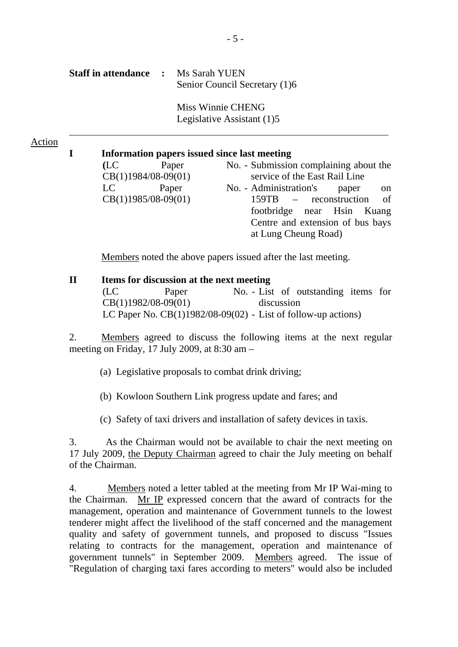| <b>Staff in attendance :</b> Ms Sarah YUEN |                               |
|--------------------------------------------|-------------------------------|
|                                            | Senior Council Secretary (1)6 |

Miss Winnie CHENG Legislative Assistant (1)5

#### Action

#### **I Information papers issued since last meeting**

| (LC) | Paper                 | No. - Submission complaining about the |
|------|-----------------------|----------------------------------------|
|      | $CB(1)1984/08-09(01)$ | service of the East Rail Line          |
| LC   | Paper                 | No. - Administration's paper<br>on     |
|      | $CB(1)1985/08-09(01)$ | 159TB – reconstruction of              |
|      |                       | footbridge near Hsin Kuang             |
|      |                       | Centre and extension of bus bays       |
|      |                       | at Lung Cheung Road)                   |
|      |                       |                                        |

Members noted the above papers issued after the last meeting.

#### **II Items for discussion at the next meeting**  (LC Paper CB(1)1982/08-09(01) No. - List of outstanding items for discussion LC Paper No.  $CB(1)1982/08-09(02)$  - List of follow-up actions)

2. Members agreed to discuss the following items at the next regular meeting on Friday, 17 July 2009, at 8:30 am –

(a) Legislative proposals to combat drink driving;

(b) Kowloon Southern Link progress update and fares; and

(c) Safety of taxi drivers and installation of safety devices in taxis.

3. As the Chairman would not be available to chair the next meeting on 17 July 2009, the Deputy Chairman agreed to chair the July meeting on behalf of the Chairman.

4. Members noted a letter tabled at the meeting from Mr IP Wai-ming to the Chairman. Mr IP expressed concern that the award of contracts for the management, operation and maintenance of Government tunnels to the lowest tenderer might affect the livelihood of the staff concerned and the management quality and safety of government tunnels, and proposed to discuss "Issues relating to contracts for the management, operation and maintenance of government tunnels" in September 2009. Members agreed. The issue of "Regulation of charging taxi fares according to meters" would also be included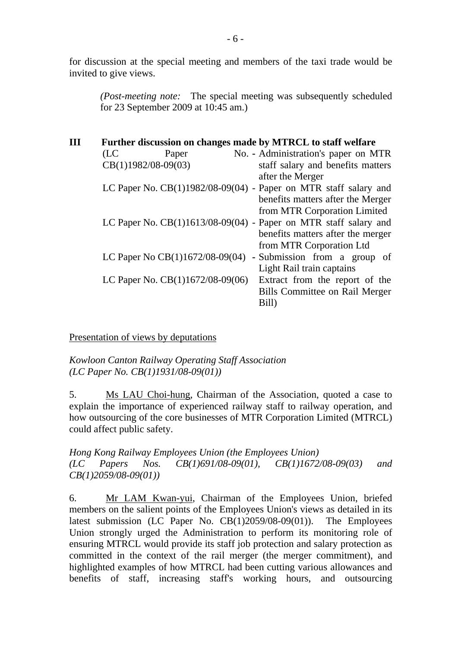for discussion at the special meeting and members of the taxi trade would be invited to give views.

*(Post-meeting note:* The special meeting was subsequently scheduled for 23 September 2009 at 10:45 am.)

| (LC | Paper |                       | No. - Administration's paper on MTR                                                                                                                                                                                                                                             |
|-----|-------|-----------------------|---------------------------------------------------------------------------------------------------------------------------------------------------------------------------------------------------------------------------------------------------------------------------------|
|     |       |                       | staff salary and benefits matters                                                                                                                                                                                                                                               |
|     |       |                       | after the Merger                                                                                                                                                                                                                                                                |
|     |       |                       |                                                                                                                                                                                                                                                                                 |
|     |       |                       | benefits matters after the Merger                                                                                                                                                                                                                                               |
|     |       |                       | from MTR Corporation Limited                                                                                                                                                                                                                                                    |
|     |       |                       |                                                                                                                                                                                                                                                                                 |
|     |       |                       | benefits matters after the merger                                                                                                                                                                                                                                               |
|     |       |                       | from MTR Corporation Ltd                                                                                                                                                                                                                                                        |
|     |       |                       | - Submission from a group of                                                                                                                                                                                                                                                    |
|     |       |                       | Light Rail train captains                                                                                                                                                                                                                                                       |
|     |       |                       | Extract from the report of the                                                                                                                                                                                                                                                  |
|     |       |                       | Bills Committee on Rail Merger                                                                                                                                                                                                                                                  |
|     |       |                       | Bill)                                                                                                                                                                                                                                                                           |
|     |       | $CB(1)1982/08-09(03)$ | Further discussion on changes made by MTRCL to staff welfare<br>LC Paper No. $CB(1)1982/08-09(04)$ - Paper on MTR staff salary and<br>LC Paper No. CB(1)1613/08-09(04) - Paper on MTR staff salary and<br>LC Paper No CB(1)1672/08-09(04)<br>LC Paper No. $CB(1)1672/08-09(06)$ |

Presentation of views by deputations

*Kowloon Canton Railway Operating Staff Association (LC Paper No. CB(1)1931/08-09(01))* 

5. Ms LAU Choi-hung, Chairman of the Association, quoted a case to explain the importance of experienced railway staff to railway operation, and how outsourcing of the core businesses of MTR Corporation Limited (MTRCL) could affect public safety.

*Hong Kong Railway Employees Union (the Employees Union) (LC Papers Nos. CB(1)691/08-09(01), CB(1)1672/08-09(03) and CB(1)2059/08-09(01))* 

6. Mr LAM Kwan-yui, Chairman of the Employees Union, briefed members on the salient points of the Employees Union's views as detailed in its latest submission (LC Paper No. CB(1)2059/08-09(01)). The Employees Union strongly urged the Administration to perform its monitoring role of ensuring MTRCL would provide its staff job protection and salary protection as committed in the context of the rail merger (the merger commitment), and highlighted examples of how MTRCL had been cutting various allowances and benefits of staff, increasing staff's working hours, and outsourcing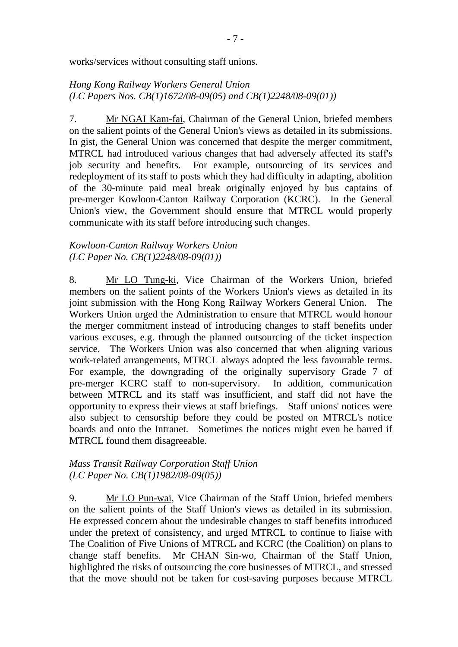works/services without consulting staff unions.

## *Hong Kong Railway Workers General Union (LC Papers Nos. CB(1)1672/08-09(05) and CB(1)2248/08-09(01))*

7. Mr NGAI Kam-fai, Chairman of the General Union, briefed members on the salient points of the General Union's views as detailed in its submissions. In gist, the General Union was concerned that despite the merger commitment, MTRCL had introduced various changes that had adversely affected its staff's job security and benefits. For example, outsourcing of its services and redeployment of its staff to posts which they had difficulty in adapting, abolition of the 30-minute paid meal break originally enjoyed by bus captains of pre-merger Kowloon-Canton Railway Corporation (KCRC). In the General Union's view, the Government should ensure that MTRCL would properly communicate with its staff before introducing such changes.

#### *Kowloon-Canton Railway Workers Union (LC Paper No. CB(1)2248/08-09(01))*

8. Mr LO Tung-ki, Vice Chairman of the Workers Union, briefed members on the salient points of the Workers Union's views as detailed in its joint submission with the Hong Kong Railway Workers General Union. The Workers Union urged the Administration to ensure that MTRCL would honour the merger commitment instead of introducing changes to staff benefits under various excuses, e.g. through the planned outsourcing of the ticket inspection service. The Workers Union was also concerned that when aligning various work-related arrangements, MTRCL always adopted the less favourable terms. For example, the downgrading of the originally supervisory Grade 7 of pre-merger KCRC staff to non-supervisory. In addition, communication between MTRCL and its staff was insufficient, and staff did not have the opportunity to express their views at staff briefings. Staff unions' notices were also subject to censorship before they could be posted on MTRCL's notice boards and onto the Intranet. Sometimes the notices might even be barred if MTRCL found them disagreeable.

#### *Mass Transit Railway Corporation Staff Union (LC Paper No. CB(1)1982/08-09(05))*

9. Mr LO Pun-wai, Vice Chairman of the Staff Union, briefed members on the salient points of the Staff Union's views as detailed in its submission. He expressed concern about the undesirable changes to staff benefits introduced under the pretext of consistency, and urged MTRCL to continue to liaise with The Coalition of Five Unions of MTRCL and KCRC (the Coalition) on plans to change staff benefits. Mr CHAN Sin-wo, Chairman of the Staff Union, highlighted the risks of outsourcing the core businesses of MTRCL, and stressed that the move should not be taken for cost-saving purposes because MTRCL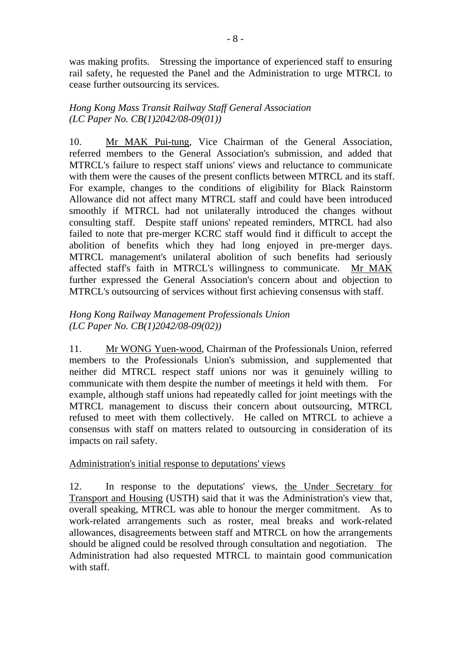was making profits. Stressing the importance of experienced staff to ensuring rail safety, he requested the Panel and the Administration to urge MTRCL to cease further outsourcing its services.

## *Hong Kong Mass Transit Railway Staff General Association (LC Paper No. CB(1)2042/08-09(01))*

10. Mr MAK Pui-tung, Vice Chairman of the General Association, referred members to the General Association's submission, and added that MTRCL's failure to respect staff unions' views and reluctance to communicate with them were the causes of the present conflicts between MTRCL and its staff. For example, changes to the conditions of eligibility for Black Rainstorm Allowance did not affect many MTRCL staff and could have been introduced smoothly if MTRCL had not unilaterally introduced the changes without consulting staff. Despite staff unions' repeated reminders, MTRCL had also failed to note that pre-merger KCRC staff would find it difficult to accept the abolition of benefits which they had long enjoyed in pre-merger days. MTRCL management's unilateral abolition of such benefits had seriously affected staff's faith in MTRCL's willingness to communicate. Mr MAK further expressed the General Association's concern about and objection to MTRCL's outsourcing of services without first achieving consensus with staff.

## *Hong Kong Railway Management Professionals Union (LC Paper No. CB(1)2042/08-09(02))*

11. Mr WONG Yuen-wood, Chairman of the Professionals Union, referred members to the Professionals Union's submission, and supplemented that neither did MTRCL respect staff unions nor was it genuinely willing to communicate with them despite the number of meetings it held with them. For example, although staff unions had repeatedly called for joint meetings with the MTRCL management to discuss their concern about outsourcing, MTRCL refused to meet with them collectively. He called on MTRCL to achieve a consensus with staff on matters related to outsourcing in consideration of its impacts on rail safety.

## Administration's initial response to deputations' views

12. In response to the deputations' views, the Under Secretary for Transport and Housing (USTH) said that it was the Administration's view that, overall speaking, MTRCL was able to honour the merger commitment. As to work-related arrangements such as roster, meal breaks and work-related allowances, disagreements between staff and MTRCL on how the arrangements should be aligned could be resolved through consultation and negotiation. The Administration had also requested MTRCL to maintain good communication with staff.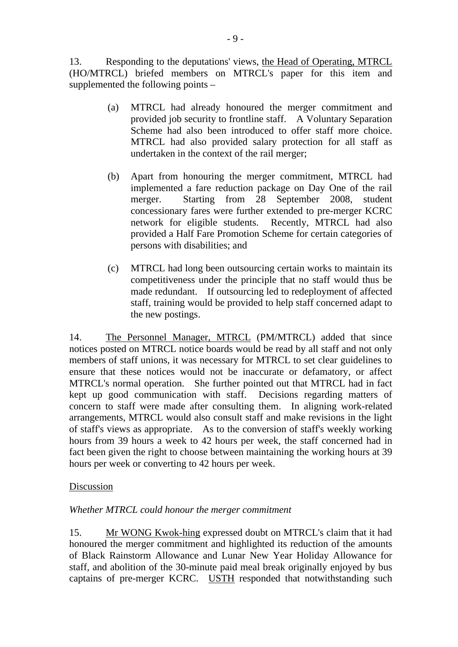13. Responding to the deputations' views, the Head of Operating, MTRCL (HO/MTRCL) briefed members on MTRCL's paper for this item and supplemented the following points –

- (a) MTRCL had already honoured the merger commitment and provided job security to frontline staff. A Voluntary Separation Scheme had also been introduced to offer staff more choice. MTRCL had also provided salary protection for all staff as undertaken in the context of the rail merger;
- (b) Apart from honouring the merger commitment, MTRCL had implemented a fare reduction package on Day One of the rail merger. Starting from 28 September 2008, student concessionary fares were further extended to pre-merger KCRC network for eligible students. Recently, MTRCL had also provided a Half Fare Promotion Scheme for certain categories of persons with disabilities; and
- (c) MTRCL had long been outsourcing certain works to maintain its competitiveness under the principle that no staff would thus be made redundant. If outsourcing led to redeployment of affected staff, training would be provided to help staff concerned adapt to the new postings.

14. The Personnel Manager, MTRCL (PM/MTRCL) added that since notices posted on MTRCL notice boards would be read by all staff and not only members of staff unions, it was necessary for MTRCL to set clear guidelines to ensure that these notices would not be inaccurate or defamatory, or affect MTRCL's normal operation. She further pointed out that MTRCL had in fact kept up good communication with staff. Decisions regarding matters of concern to staff were made after consulting them. In aligning work-related arrangements, MTRCL would also consult staff and make revisions in the light of staff's views as appropriate. As to the conversion of staff's weekly working hours from 39 hours a week to 42 hours per week, the staff concerned had in fact been given the right to choose between maintaining the working hours at 39 hours per week or converting to 42 hours per week.

## Discussion

## *Whether MTRCL could honour the merger commitment*

15. Mr WONG Kwok-hing expressed doubt on MTRCL's claim that it had honoured the merger commitment and highlighted its reduction of the amounts of Black Rainstorm Allowance and Lunar New Year Holiday Allowance for staff, and abolition of the 30-minute paid meal break originally enjoyed by bus captains of pre-merger KCRC. USTH responded that notwithstanding such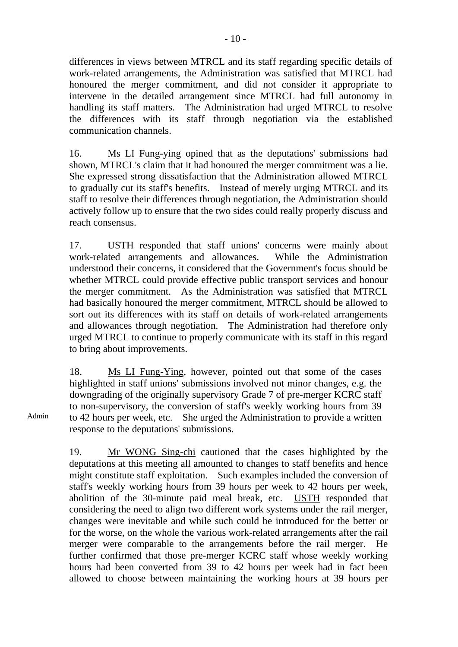differences in views between MTRCL and its staff regarding specific details of work-related arrangements, the Administration was satisfied that MTRCL had honoured the merger commitment, and did not consider it appropriate to intervene in the detailed arrangement since MTRCL had full autonomy in handling its staff matters. The Administration had urged MTRCL to resolve the differences with its staff through negotiation via the established communication channels.

16. Ms LI Fung-ying opined that as the deputations' submissions had shown, MTRCL's claim that it had honoured the merger commitment was a lie. She expressed strong dissatisfaction that the Administration allowed MTRCL to gradually cut its staff's benefits. Instead of merely urging MTRCL and its staff to resolve their differences through negotiation, the Administration should actively follow up to ensure that the two sides could really properly discuss and reach consensus.

17. USTH responded that staff unions' concerns were mainly about work-related arrangements and allowances. While the Administration understood their concerns, it considered that the Government's focus should be whether MTRCL could provide effective public transport services and honour the merger commitment. As the Administration was satisfied that MTRCL had basically honoured the merger commitment, MTRCL should be allowed to sort out its differences with its staff on details of work-related arrangements and allowances through negotiation. The Administration had therefore only urged MTRCL to continue to properly communicate with its staff in this regard to bring about improvements.

18. Ms LI Fung-Ying, however, pointed out that some of the cases highlighted in staff unions' submissions involved not minor changes, e.g. the downgrading of the originally supervisory Grade 7 of pre-merger KCRC staff to non-supervisory, the conversion of staff's weekly working hours from 39 to 42 hours per week, etc. She urged the Administration to provide a written response to the deputations' submissions.

19. Mr WONG Sing-chi cautioned that the cases highlighted by the deputations at this meeting all amounted to changes to staff benefits and hence might constitute staff exploitation. Such examples included the conversion of staff's weekly working hours from 39 hours per week to 42 hours per week, abolition of the 30-minute paid meal break, etc. USTH responded that considering the need to align two different work systems under the rail merger, changes were inevitable and while such could be introduced for the better or for the worse, on the whole the various work-related arrangements after the rail merger were comparable to the arrangements before the rail merger. He further confirmed that those pre-merger KCRC staff whose weekly working hours had been converted from 39 to 42 hours per week had in fact been allowed to choose between maintaining the working hours at 39 hours per

Admin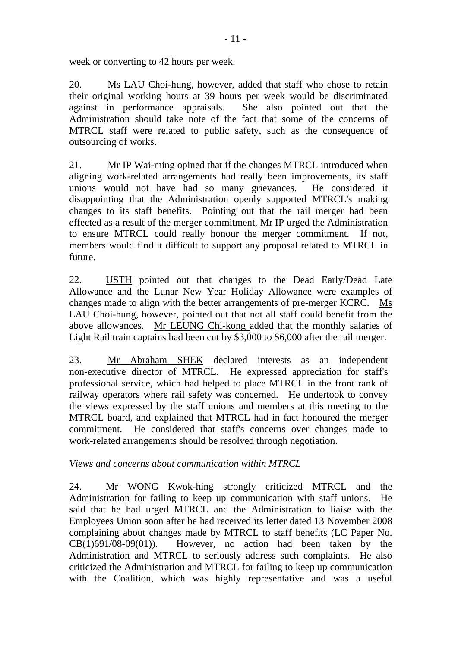week or converting to 42 hours per week.

20. Ms LAU Choi-hung, however, added that staff who chose to retain their original working hours at 39 hours per week would be discriminated against in performance appraisals. She also pointed out that the Administration should take note of the fact that some of the concerns of MTRCL staff were related to public safety, such as the consequence of outsourcing of works.

21. Mr IP Wai-ming opined that if the changes MTRCL introduced when aligning work-related arrangements had really been improvements, its staff unions would not have had so many grievances. He considered it disappointing that the Administration openly supported MTRCL's making changes to its staff benefits. Pointing out that the rail merger had been effected as a result of the merger commitment, Mr IP urged the Administration to ensure MTRCL could really honour the merger commitment. If not, members would find it difficult to support any proposal related to MTRCL in future.

22. USTH pointed out that changes to the Dead Early/Dead Late Allowance and the Lunar New Year Holiday Allowance were examples of changes made to align with the better arrangements of pre-merger KCRC. Ms LAU Choi-hung, however, pointed out that not all staff could benefit from the above allowances. Mr LEUNG Chi-kong added that the monthly salaries of Light Rail train captains had been cut by \$3,000 to \$6,000 after the rail merger.

23. Mr Abraham SHEK declared interests as an independent non-executive director of MTRCL. He expressed appreciation for staff's professional service, which had helped to place MTRCL in the front rank of railway operators where rail safety was concerned. He undertook to convey the views expressed by the staff unions and members at this meeting to the MTRCL board, and explained that MTRCL had in fact honoured the merger commitment. He considered that staff's concerns over changes made to work-related arrangements should be resolved through negotiation.

*Views and concerns about communication within MTRCL* 

24. Mr WONG Kwok-hing strongly criticized MTRCL and the Administration for failing to keep up communication with staff unions. He said that he had urged MTRCL and the Administration to liaise with the Employees Union soon after he had received its letter dated 13 November 2008 complaining about changes made by MTRCL to staff benefits (LC Paper No.  $CB(1)691/08-09(01)$ . However, no action had been taken by the Administration and MTRCL to seriously address such complaints. He also criticized the Administration and MTRCL for failing to keep up communication with the Coalition, which was highly representative and was a useful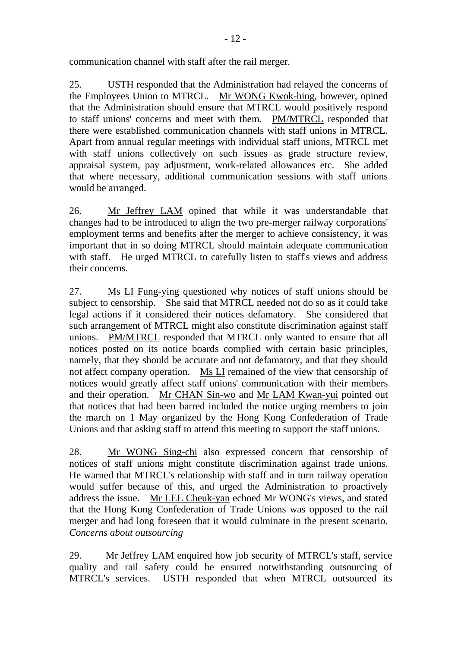25. USTH responded that the Administration had relayed the concerns of the Employees Union to MTRCL. Mr WONG Kwok-hing, however, opined that the Administration should ensure that MTRCL would positively respond to staff unions' concerns and meet with them. PM/MTRCL responded that there were established communication channels with staff unions in MTRCL. Apart from annual regular meetings with individual staff unions, MTRCL met with staff unions collectively on such issues as grade structure review, appraisal system, pay adjustment, work-related allowances etc. She added that where necessary, additional communication sessions with staff unions would be arranged.

26. Mr Jeffrey LAM opined that while it was understandable that changes had to be introduced to align the two pre-merger railway corporations' employment terms and benefits after the merger to achieve consistency, it was important that in so doing MTRCL should maintain adequate communication with staff. He urged MTRCL to carefully listen to staff's views and address their concerns.

27. Ms LI Fung-ying questioned why notices of staff unions should be subject to censorship. She said that MTRCL needed not do so as it could take legal actions if it considered their notices defamatory. She considered that such arrangement of MTRCL might also constitute discrimination against staff unions. PM/MTRCL responded that MTRCL only wanted to ensure that all notices posted on its notice boards complied with certain basic principles, namely, that they should be accurate and not defamatory, and that they should not affect company operation. Ms LI remained of the view that censorship of notices would greatly affect staff unions' communication with their members and their operation. Mr CHAN Sin-wo and Mr LAM Kwan-yui pointed out that notices that had been barred included the notice urging members to join the march on 1 May organized by the Hong Kong Confederation of Trade Unions and that asking staff to attend this meeting to support the staff unions.

28. Mr WONG Sing-chi also expressed concern that censorship of notices of staff unions might constitute discrimination against trade unions. He warned that MTRCL's relationship with staff and in turn railway operation would suffer because of this, and urged the Administration to proactively address the issue. Mr LEE Cheuk-yan echoed Mr WONG's views, and stated that the Hong Kong Confederation of Trade Unions was opposed to the rail merger and had long foreseen that it would culminate in the present scenario. *Concerns about outsourcing*

29. Mr Jeffrey LAM enquired how job security of MTRCL's staff, service quality and rail safety could be ensured notwithstanding outsourcing of MTRCL's services. USTH responded that when MTRCL outsourced its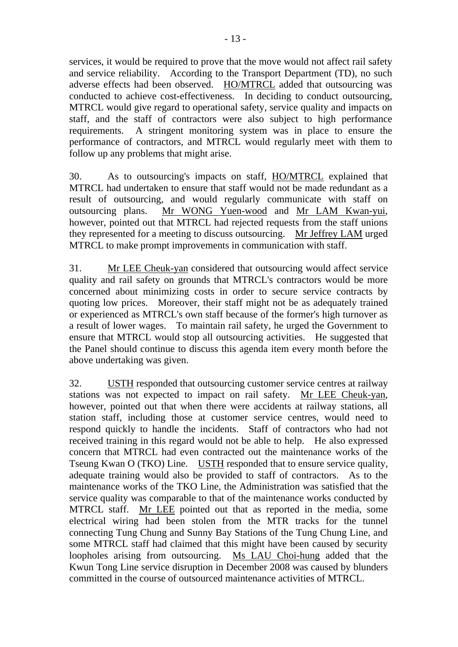services, it would be required to prove that the move would not affect rail safety and service reliability. According to the Transport Department (TD), no such adverse effects had been observed. HO/MTRCL added that outsourcing was conducted to achieve cost-effectiveness. In deciding to conduct outsourcing, MTRCL would give regard to operational safety, service quality and impacts on staff, and the staff of contractors were also subject to high performance requirements. A stringent monitoring system was in place to ensure the performance of contractors, and MTRCL would regularly meet with them to follow up any problems that might arise.

30. As to outsourcing's impacts on staff, HO/MTRCL explained that MTRCL had undertaken to ensure that staff would not be made redundant as a result of outsourcing, and would regularly communicate with staff on outsourcing plans. Mr WONG Yuen-wood and Mr LAM Kwan-yui, however, pointed out that MTRCL had rejected requests from the staff unions they represented for a meeting to discuss outsourcing. Mr Jeffrey LAM urged MTRCL to make prompt improvements in communication with staff.

31. Mr LEE Cheuk-yan considered that outsourcing would affect service quality and rail safety on grounds that MTRCL's contractors would be more concerned about minimizing costs in order to secure service contracts by quoting low prices. Moreover, their staff might not be as adequately trained or experienced as MTRCL's own staff because of the former's high turnover as a result of lower wages. To maintain rail safety, he urged the Government to ensure that MTRCL would stop all outsourcing activities. He suggested that the Panel should continue to discuss this agenda item every month before the above undertaking was given.

32. USTH responded that outsourcing customer service centres at railway stations was not expected to impact on rail safety. Mr LEE Cheuk-yan, however, pointed out that when there were accidents at railway stations, all station staff, including those at customer service centres, would need to respond quickly to handle the incidents. Staff of contractors who had not received training in this regard would not be able to help. He also expressed concern that MTRCL had even contracted out the maintenance works of the Tseung Kwan O (TKO) Line. USTH responded that to ensure service quality, adequate training would also be provided to staff of contractors. As to the maintenance works of the TKO Line, the Administration was satisfied that the service quality was comparable to that of the maintenance works conducted by MTRCL staff. Mr LEE pointed out that as reported in the media, some electrical wiring had been stolen from the MTR tracks for the tunnel connecting Tung Chung and Sunny Bay Stations of the Tung Chung Line, and some MTRCL staff had claimed that this might have been caused by security loopholes arising from outsourcing. Ms LAU Choi-hung added that the Kwun Tong Line service disruption in December 2008 was caused by blunders committed in the course of outsourced maintenance activities of MTRCL.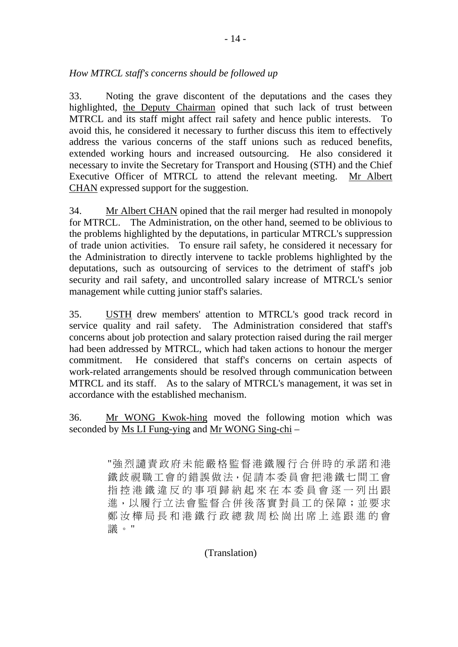33. Noting the grave discontent of the deputations and the cases they highlighted, the Deputy Chairman opined that such lack of trust between MTRCL and its staff might affect rail safety and hence public interests. To avoid this, he considered it necessary to further discuss this item to effectively address the various concerns of the staff unions such as reduced benefits, extended working hours and increased outsourcing. He also considered it necessary to invite the Secretary for Transport and Housing (STH) and the Chief Executive Officer of MTRCL to attend the relevant meeting. Mr Albert CHAN expressed support for the suggestion.

34. Mr Albert CHAN opined that the rail merger had resulted in monopoly for MTRCL. The Administration, on the other hand, seemed to be oblivious to the problems highlighted by the deputations, in particular MTRCL's suppression of trade union activities. To ensure rail safety, he considered it necessary for the Administration to directly intervene to tackle problems highlighted by the deputations, such as outsourcing of services to the detriment of staff's job security and rail safety, and uncontrolled salary increase of MTRCL's senior management while cutting junior staff's salaries.

35. USTH drew members' attention to MTRCL's good track record in service quality and rail safety. The Administration considered that staff's concerns about job protection and salary protection raised during the rail merger had been addressed by MTRCL, which had taken actions to honour the merger commitment. He considered that staff's concerns on certain aspects of work-related arrangements should be resolved through communication between MTRCL and its staff. As to the salary of MTRCL's management, it was set in accordance with the established mechanism.

36. Mr WONG Kwok-hing moved the following motion which was seconded by Ms LI Fung-ying and Mr WONG Sing-chi –

> "強烈讉責政府未能嚴格監督港鐵履行合併時的承諾和港 鐵歧視職工會的錯誤做法,促請本委員會把港鐵七間工會 指控港鐵違反的事項歸納起來在本委員會逐一列出跟 進,以履行立法會監督合併後落實對員工的保障;並要求 鄭汝樺局長和港鐵行政總裁周松崗出席上述跟進的會 議。"

## (Translation)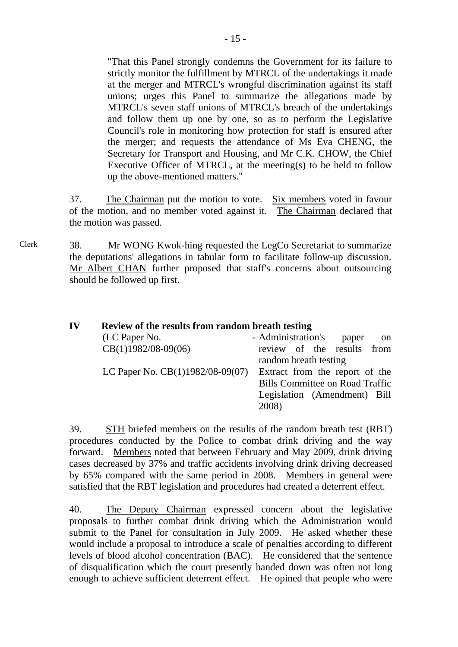"That this Panel strongly condemns the Government for its failure to strictly monitor the fulfillment by MTRCL of the undertakings it made at the merger and MTRCL's wrongful discrimination against its staff unions; urges this Panel to summarize the allegations made by MTRCL's seven staff unions of MTRCL's breach of the undertakings and follow them up one by one, so as to perform the Legislative Council's role in monitoring how protection for staff is ensured after the merger; and requests the attendance of Ms Eva CHENG, the Secretary for Transport and Housing, and Mr C.K. CHOW, the Chief Executive Officer of MTRCL, at the meeting(s) to be held to follow up the above-mentioned matters."

37. The Chairman put the motion to vote. Six members voted in favour of the motion, and no member voted against it. The Chairman declared that the motion was passed.

Clerk 38. Mr WONG Kwok-hing requested the LegCo Secretariat to summarize the deputations' allegations in tabular form to facilitate follow-up discussion. Mr Albert CHAN further proposed that staff's concerns about outsourcing should be followed up first.

| IV | Review of the results from random breath testing |                                              |
|----|--------------------------------------------------|----------------------------------------------|
|    | (LC Paper No.                                    | - Administration's<br>paper<br><sub>on</sub> |
|    | $CB(1)1982/08-09(06)$                            | review of the results from                   |
|    |                                                  | random breath testing                        |
|    | LC Paper No. CB(1)1982/08-09(07)                 | Extract from the report of the               |
|    |                                                  | <b>Bills Committee on Road Traffic</b>       |
|    |                                                  | Legislation (Amendment) Bill                 |
|    |                                                  | 2008)                                        |

39. STH briefed members on the results of the random breath test (RBT) procedures conducted by the Police to combat drink driving and the way forward. Members noted that between February and May 2009, drink driving cases decreased by 37% and traffic accidents involving drink driving decreased by 65% compared with the same period in 2008. Members in general were satisfied that the RBT legislation and procedures had created a deterrent effect.

40. The Deputy Chairman expressed concern about the legislative proposals to further combat drink driving which the Administration would submit to the Panel for consultation in July 2009. He asked whether these would include a proposal to introduce a scale of penalties according to different levels of blood alcohol concentration (BAC). He considered that the sentence of disqualification which the court presently handed down was often not long enough to achieve sufficient deterrent effect. He opined that people who were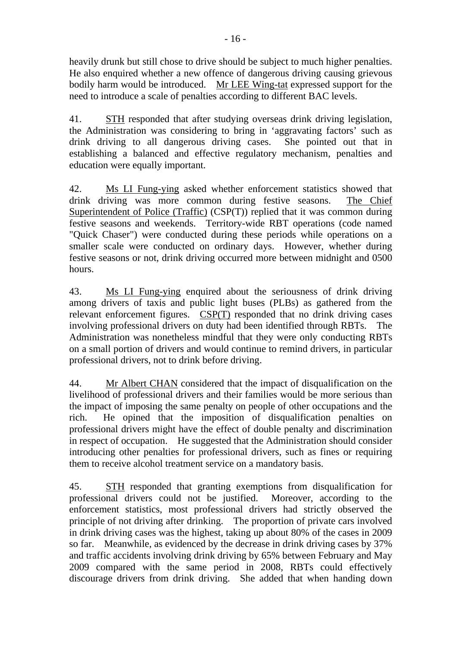heavily drunk but still chose to drive should be subject to much higher penalties. He also enquired whether a new offence of dangerous driving causing grievous bodily harm would be introduced. Mr LEE Wing-tat expressed support for the need to introduce a scale of penalties according to different BAC levels.

41. STH responded that after studying overseas drink driving legislation, the Administration was considering to bring in 'aggravating factors' such as drink driving to all dangerous driving cases. She pointed out that in establishing a balanced and effective regulatory mechanism, penalties and education were equally important.

42. Ms LI Fung-ying asked whether enforcement statistics showed that drink driving was more common during festive seasons. The Chief Superintendent of Police (Traffic) (CSP(T)) replied that it was common during festive seasons and weekends. Territory-wide RBT operations (code named "Quick Chaser") were conducted during these periods while operations on a smaller scale were conducted on ordinary days. However, whether during festive seasons or not, drink driving occurred more between midnight and 0500 hours.

43. Ms LI Fung-ying enquired about the seriousness of drink driving among drivers of taxis and public light buses (PLBs) as gathered from the relevant enforcement figures. CSP(T) responded that no drink driving cases involving professional drivers on duty had been identified through RBTs. The Administration was nonetheless mindful that they were only conducting RBTs on a small portion of drivers and would continue to remind drivers, in particular professional drivers, not to drink before driving.

44. Mr Albert CHAN considered that the impact of disqualification on the livelihood of professional drivers and their families would be more serious than the impact of imposing the same penalty on people of other occupations and the rich. He opined that the imposition of disqualification penalties on professional drivers might have the effect of double penalty and discrimination in respect of occupation. He suggested that the Administration should consider introducing other penalties for professional drivers, such as fines or requiring them to receive alcohol treatment service on a mandatory basis.

45. STH responded that granting exemptions from disqualification for professional drivers could not be justified. Moreover, according to the enforcement statistics, most professional drivers had strictly observed the principle of not driving after drinking. The proportion of private cars involved in drink driving cases was the highest, taking up about 80% of the cases in 2009 so far. Meanwhile, as evidenced by the decrease in drink driving cases by 37% and traffic accidents involving drink driving by 65% between February and May 2009 compared with the same period in 2008, RBTs could effectively discourage drivers from drink driving. She added that when handing down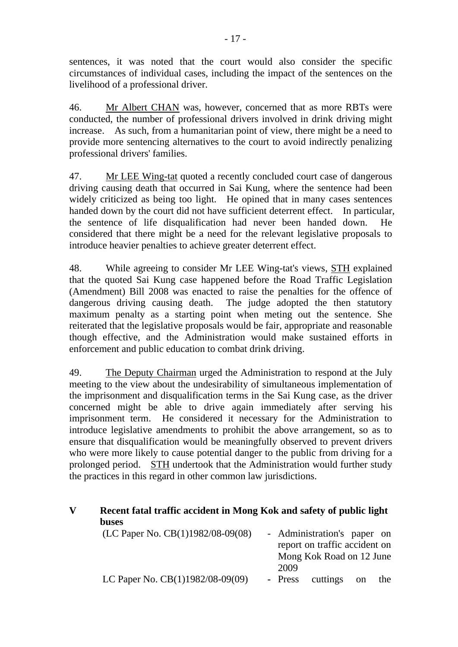sentences, it was noted that the court would also consider the specific circumstances of individual cases, including the impact of the sentences on the livelihood of a professional driver.

46. Mr Albert CHAN was, however, concerned that as more RBTs were conducted, the number of professional drivers involved in drink driving might increase. As such, from a humanitarian point of view, there might be a need to provide more sentencing alternatives to the court to avoid indirectly penalizing professional drivers' families.

47. Mr LEE Wing-tat quoted a recently concluded court case of dangerous driving causing death that occurred in Sai Kung, where the sentence had been widely criticized as being too light. He opined that in many cases sentences handed down by the court did not have sufficient deterrent effect. In particular, the sentence of life disqualification had never been handed down. He considered that there might be a need for the relevant legislative proposals to introduce heavier penalties to achieve greater deterrent effect.

48. While agreeing to consider Mr LEE Wing-tat's views, STH explained that the quoted Sai Kung case happened before the Road Traffic Legislation (Amendment) Bill 2008 was enacted to raise the penalties for the offence of dangerous driving causing death. The judge adopted the then statutory maximum penalty as a starting point when meting out the sentence. She reiterated that the legislative proposals would be fair, appropriate and reasonable though effective, and the Administration would make sustained efforts in enforcement and public education to combat drink driving.

49. The Deputy Chairman urged the Administration to respond at the July meeting to the view about the undesirability of simultaneous implementation of the imprisonment and disqualification terms in the Sai Kung case, as the driver concerned might be able to drive again immediately after serving his imprisonment term. He considered it necessary for the Administration to introduce legislative amendments to prohibit the above arrangement, so as to ensure that disqualification would be meaningfully observed to prevent drivers who were more likely to cause potential danger to the public from driving for a prolonged period. STH undertook that the Administration would further study the practices in this regard in other common law jurisdictions.

# **V Recent fatal traffic accident in Mong Kok and safety of public light buses**

| (LC Paper No. $CB(1)1982/08-09(08)$ ) |      | - Administration's paper on   |     |
|---------------------------------------|------|-------------------------------|-----|
|                                       |      | report on traffic accident on |     |
|                                       |      | Mong Kok Road on 12 June      |     |
|                                       | 2009 |                               |     |
| LC Paper No. CB(1)1982/08-09(09)      |      | - Press cuttings on           | the |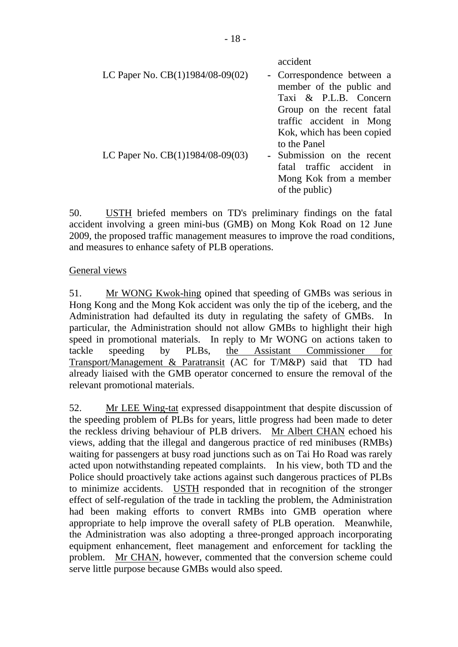| LC Paper No. CB(1)1984/08-09(02)   | accident<br>- Correspondence between a<br>member of the public and<br>Taxi & P.L.B. Concern                                                                                                                |
|------------------------------------|------------------------------------------------------------------------------------------------------------------------------------------------------------------------------------------------------------|
| LC Paper No. $CB(1)1984/08-09(03)$ | Group on the recent fatal<br>traffic accident in Mong<br>Kok, which has been copied<br>to the Panel<br>- Submission on the recent<br>fatal traffic accident in<br>Mong Kok from a member<br>of the public) |

50. USTH briefed members on TD's preliminary findings on the fatal accident involving a green mini-bus (GMB) on Mong Kok Road on 12 June 2009, the proposed traffic management measures to improve the road conditions, and measures to enhance safety of PLB operations.

## General views

51. Mr WONG Kwok-hing opined that speeding of GMBs was serious in Hong Kong and the Mong Kok accident was only the tip of the iceberg, and the Administration had defaulted its duty in regulating the safety of GMBs. In particular, the Administration should not allow GMBs to highlight their high speed in promotional materials. In reply to Mr WONG on actions taken to tackle speeding by PLBs, the Assistant Commissioner for Transport/Management & Paratransit (AC for T/M&P) said that TD had already liaised with the GMB operator concerned to ensure the removal of the relevant promotional materials.

52. Mr LEE Wing-tat expressed disappointment that despite discussion of the speeding problem of PLBs for years, little progress had been made to deter the reckless driving behaviour of PLB drivers. Mr Albert CHAN echoed his views, adding that the illegal and dangerous practice of red minibuses (RMBs) waiting for passengers at busy road junctions such as on Tai Ho Road was rarely acted upon notwithstanding repeated complaints. In his view, both TD and the Police should proactively take actions against such dangerous practices of PLBs to minimize accidents. USTH responded that in recognition of the stronger effect of self-regulation of the trade in tackling the problem, the Administration had been making efforts to convert RMBs into GMB operation where appropriate to help improve the overall safety of PLB operation. Meanwhile, the Administration was also adopting a three-pronged approach incorporating equipment enhancement, fleet management and enforcement for tackling the problem. Mr CHAN, however, commented that the conversion scheme could serve little purpose because GMBs would also speed.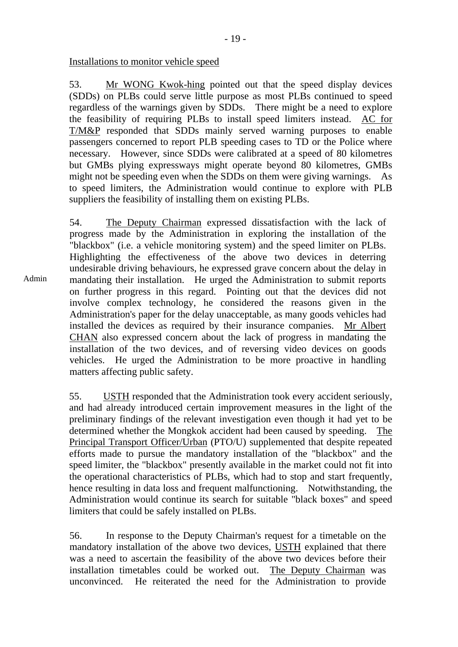Installations to monitor vehicle speed

53. Mr WONG Kwok-hing pointed out that the speed display devices (SDDs) on PLBs could serve little purpose as most PLBs continued to speed regardless of the warnings given by SDDs. There might be a need to explore the feasibility of requiring PLBs to install speed limiters instead. AC for T/M&P responded that SDDs mainly served warning purposes to enable passengers concerned to report PLB speeding cases to TD or the Police where necessary. However, since SDDs were calibrated at a speed of 80 kilometres but GMBs plying expressways might operate beyond 80 kilometres, GMBs might not be speeding even when the SDDs on them were giving warnings. As to speed limiters, the Administration would continue to explore with PLB suppliers the feasibility of installing them on existing PLBs.

Admin 54. The Deputy Chairman expressed dissatisfaction with the lack of progress made by the Administration in exploring the installation of the "blackbox" (i.e. a vehicle monitoring system) and the speed limiter on PLBs. Highlighting the effectiveness of the above two devices in deterring undesirable driving behaviours, he expressed grave concern about the delay in mandating their installation. He urged the Administration to submit reports on further progress in this regard. Pointing out that the devices did not involve complex technology, he considered the reasons given in the Administration's paper for the delay unacceptable, as many goods vehicles had installed the devices as required by their insurance companies. Mr Albert CHAN also expressed concern about the lack of progress in mandating the installation of the two devices, and of reversing video devices on goods vehicles. He urged the Administration to be more proactive in handling matters affecting public safety.

> 55. USTH responded that the Administration took every accident seriously, and had already introduced certain improvement measures in the light of the preliminary findings of the relevant investigation even though it had yet to be determined whether the Mongkok accident had been caused by speeding. The Principal Transport Officer/Urban (PTO/U) supplemented that despite repeated efforts made to pursue the mandatory installation of the "blackbox" and the speed limiter, the "blackbox" presently available in the market could not fit into the operational characteristics of PLBs, which had to stop and start frequently, hence resulting in data loss and frequent malfunctioning. Notwithstanding, the Administration would continue its search for suitable "black boxes" and speed limiters that could be safely installed on PLBs.

56. In response to the Deputy Chairman's request for a timetable on the mandatory installation of the above two devices, USTH explained that there was a need to ascertain the feasibility of the above two devices before their installation timetables could be worked out. The Deputy Chairman was unconvinced. He reiterated the need for the Administration to provide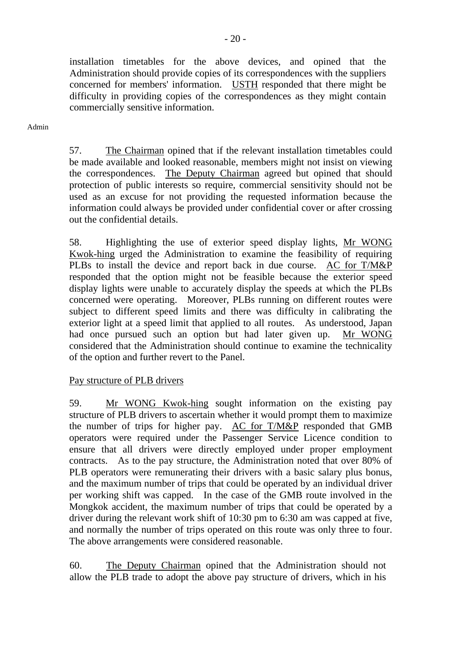installation timetables for the above devices, and opined that the Administration should provide copies of its correspondences with the suppliers concerned for members' information. USTH responded that there might be difficulty in providing copies of the correspondences as they might contain commercially sensitive information.

Admin

57. The Chairman opined that if the relevant installation timetables could be made available and looked reasonable, members might not insist on viewing the correspondences. The Deputy Chairman agreed but opined that should protection of public interests so require, commercial sensitivity should not be used as an excuse for not providing the requested information because the information could always be provided under confidential cover or after crossing out the confidential details.

58. Highlighting the use of exterior speed display lights, Mr WONG Kwok-hing urged the Administration to examine the feasibility of requiring PLBs to install the device and report back in due course. AC for T/M&P responded that the option might not be feasible because the exterior speed display lights were unable to accurately display the speeds at which the PLBs concerned were operating. Moreover, PLBs running on different routes were subject to different speed limits and there was difficulty in calibrating the exterior light at a speed limit that applied to all routes. As understood, Japan had once pursued such an option but had later given up. Mr WONG considered that the Administration should continue to examine the technicality of the option and further revert to the Panel.

Pay structure of PLB drivers

59. Mr WONG Kwok-hing sought information on the existing pay structure of PLB drivers to ascertain whether it would prompt them to maximize the number of trips for higher pay. AC for T/M&P responded that GMB operators were required under the Passenger Service Licence condition to ensure that all drivers were directly employed under proper employment contracts. As to the pay structure, the Administration noted that over 80% of PLB operators were remunerating their drivers with a basic salary plus bonus, and the maximum number of trips that could be operated by an individual driver per working shift was capped. In the case of the GMB route involved in the Mongkok accident, the maximum number of trips that could be operated by a driver during the relevant work shift of 10:30 pm to 6:30 am was capped at five, and normally the number of trips operated on this route was only three to four. The above arrangements were considered reasonable.

60. The Deputy Chairman opined that the Administration should not allow the PLB trade to adopt the above pay structure of drivers, which in his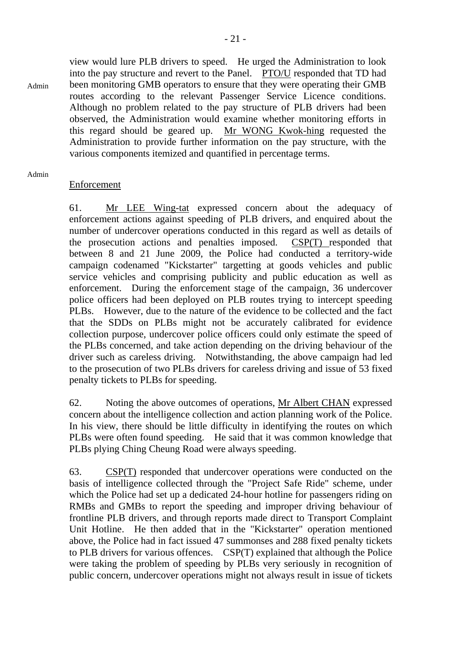view would lure PLB drivers to speed. He urged the Administration to look into the pay structure and revert to the Panel. PTO/U responded that TD had been monitoring GMB operators to ensure that they were operating their GMB routes according to the relevant Passenger Service Licence conditions. Although no problem related to the pay structure of PLB drivers had been observed, the Administration would examine whether monitoring efforts in this regard should be geared up. Mr WONG Kwok-hing requested the Administration to provide further information on the pay structure, with the various components itemized and quantified in percentage terms.

Admin

Admin

#### Enforcement

61. Mr LEE Wing-tat expressed concern about the adequacy of enforcement actions against speeding of PLB drivers, and enquired about the number of undercover operations conducted in this regard as well as details of the prosecution actions and penalties imposed. CSP(T) responded that between 8 and 21 June 2009, the Police had conducted a territory-wide campaign codenamed "Kickstarter" targetting at goods vehicles and public service vehicles and comprising publicity and public education as well as enforcement. During the enforcement stage of the campaign, 36 undercover police officers had been deployed on PLB routes trying to intercept speeding PLBs. However, due to the nature of the evidence to be collected and the fact that the SDDs on PLBs might not be accurately calibrated for evidence collection purpose, undercover police officers could only estimate the speed of the PLBs concerned, and take action depending on the driving behaviour of the driver such as careless driving. Notwithstanding, the above campaign had led to the prosecution of two PLBs drivers for careless driving and issue of 53 fixed penalty tickets to PLBs for speeding.

62. Noting the above outcomes of operations, Mr Albert CHAN expressed concern about the intelligence collection and action planning work of the Police. In his view, there should be little difficulty in identifying the routes on which PLBs were often found speeding. He said that it was common knowledge that PLBs plying Ching Cheung Road were always speeding.

63. CSP(T) responded that undercover operations were conducted on the basis of intelligence collected through the "Project Safe Ride" scheme, under which the Police had set up a dedicated 24-hour hotline for passengers riding on RMBs and GMBs to report the speeding and improper driving behaviour of frontline PLB drivers, and through reports made direct to Transport Complaint Unit Hotline. He then added that in the "Kickstarter" operation mentioned above, the Police had in fact issued 47 summonses and 288 fixed penalty tickets to PLB drivers for various offences. CSP(T) explained that although the Police were taking the problem of speeding by PLBs very seriously in recognition of public concern, undercover operations might not always result in issue of tickets